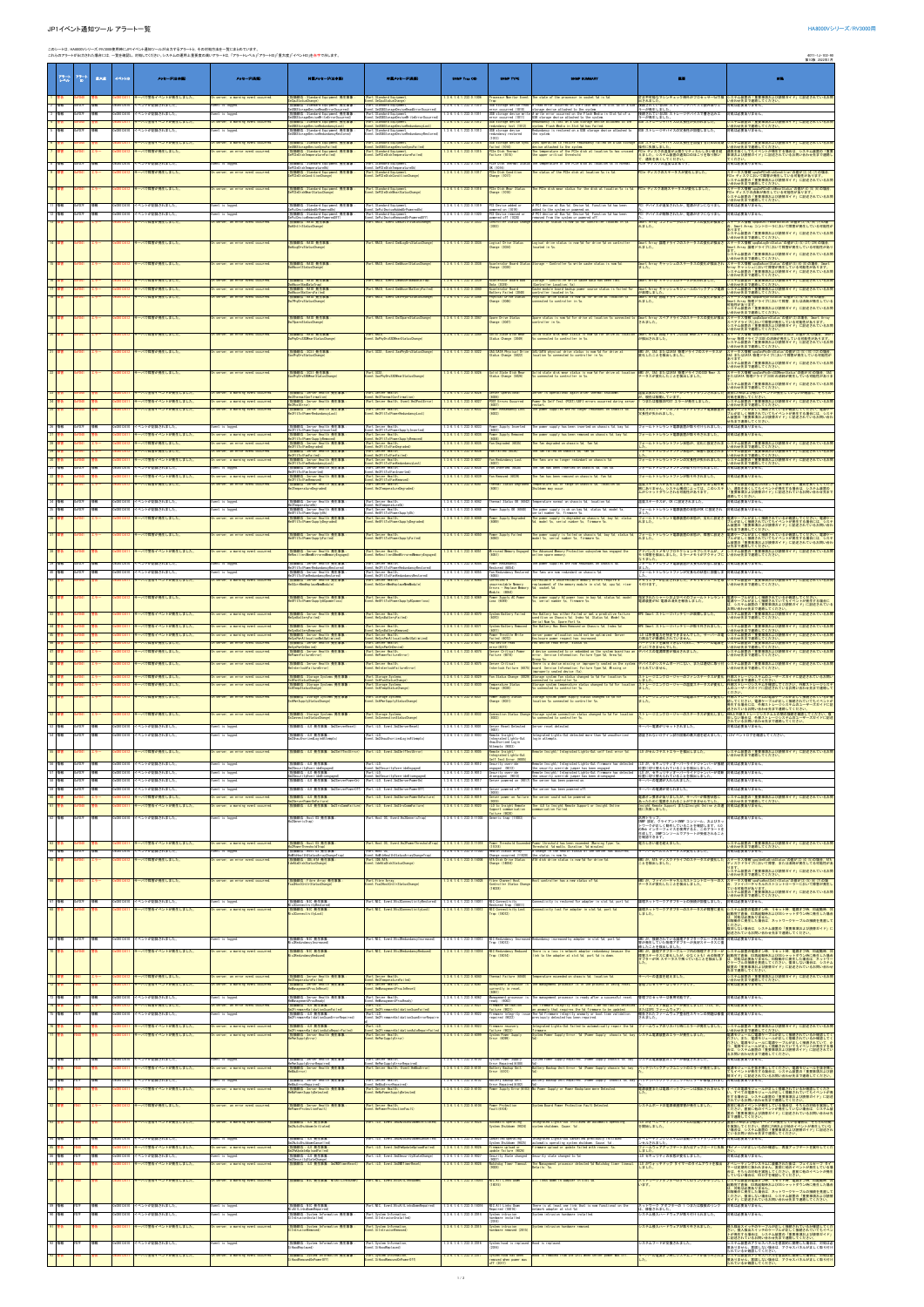## JP1イベント通知ツール アラート一覧 HA8000Vシリーズ/RV3000用

|                          |                        |          |                        | このシートは、HA8000Vシリース/RV3000使用時にJP1イベント適知ツールが出力するアラートと、その対処方法を一覧にまとめています。 | これらのアラートが出力された場合には、一覧を確認し、対処してください。システムの運用上重要度の高いアラートは、「アラートレベル」「アラートID」「重大度」「イベントID」を赤字で示します。 |                                                                                                             |                                                                                                                   |                                                          |                                                                                   |                                                                                                                                                                                                                        |                                                                                                       | 4071-1J-102-90<br>第10版 2022年1月                                                                                                                                             |
|--------------------------|------------------------|----------|------------------------|------------------------------------------------------------------------|------------------------------------------------------------------------------------------------|-------------------------------------------------------------------------------------------------------------|-------------------------------------------------------------------------------------------------------------------|----------------------------------------------------------|-----------------------------------------------------------------------------------|------------------------------------------------------------------------------------------------------------------------------------------------------------------------------------------------------------------------|-------------------------------------------------------------------------------------------------------|----------------------------------------------------------------------------------------------------------------------------------------------------------------------------|
|                          |                        |          |                        |                                                                        |                                                                                                |                                                                                                             |                                                                                                                   |                                                          |                                                                                   |                                                                                                                                                                                                                        |                                                                                                       |                                                                                                                                                                            |
| アラート                     | $7^{n-1}_{n}$          | 重大度      | イベントII                 | メッセージ(日本語)                                                             | メッセージ(英語)                                                                                      | 付属メッセージ(日本語)                                                                                                | 付属メッセージ(英語)                                                                                                       | SHMP Trap OID                                            | <b>SNMP TYPE</b>                                                                  |                                                                                                                                                                                                                        | 标志                                                                                                    | 女性                                                                                                                                                                         |
|                          |                        |          |                        |                                                                        |                                                                                                |                                                                                                             |                                                                                                                   |                                                          |                                                                                   |                                                                                                                                                                                                                        |                                                                                                       |                                                                                                                                                                            |
| 2 情報                     | 0xFD7F                 | 情報       |                        | 一パで警告イベントが発生しました<br>Dx00012410 イベントが記録されました。                           | On server, a warning event occurred<br>Event is logged.                                        | 指摘部位:Standard Equipment 発生事象<br>eCpuStatusChange)                                                           | Part:Standard Equipmen<br>vent:SeCpuStatusChange)<br>(Part:Standard Equipment                                     | 1.3.6.1.4.1.232.0.1006<br>1.3.6.1.4.1.232.0.1010         | rocessor Monitor Event<br>USB storage device read                                 | The state of the processor in socket %d is %d<br>A read error occurred on the Elash Media in Slot 5d of a USB                                                                                                          | 出されました<br>接続されているUSB ストレージデバイスで読み取りエ                                                                  | <b>訂正不可能なマシンチェック例外がブロセッサー!dで検  システム装置の「重要事項および読替ガイド」に記述されているお問</b><br>へ合わせ先まで連絡してください<br>対処は必要ありません。                                                                       |
| 3 情報                     | <b>OxFD7F</b>          | 情報       | x00012410              | イベントが記録されました。                                                          | vent is logged                                                                                 | (指摘部位:Standard Equipment 発生事象:<br>SeUSBStorageDeviceReadErrorOccurred)<br>(指插部位·Standard Foujoment 登生事象)    | ent:SeUSBStorageDeviceReadErrorOccurred)<br>(Part:Standard Equipment)                                             | 1.3.6.1.4.1.232.0.1011                                   | ror occurred (1010)                                                               | <u>rage</u> device attached to the system<br>USB storage device write A write error occurred on the Flash Media in Slo                                                                                                 | ラーが発生しました<br>接続されているUSB ストレージデバイスで書き込みエ<br>ラーが発生しました。                                                 | け処は必要ありません。                                                                                                                                                                |
| 4 警告                     |                        |          |                        | サーバで警告イベントが発生しました。                                                     | On server, a warning event occurred                                                            | USBStorageDeviceWriteErrorOccurred)<br>(指摘部位: Standard Equipment 竞生事象:<br>SeUSBStorageDeviceRedundancyLost) | Event:SeUSBStorageDeviceMriteErrorOccurred<br>(Part:Standard Equipment,<br>Event:SeUSBStorageDeviceRedundancyLost | 1.3.6.1.4.1.232.0.1012                                   | error occurred (1011)<br>USB storage device<br>edundancy lost (101)               | USB storage device attached to the system.<br>Redundancy is lost on a USB storage device attached to the<br>system. Flash Media in Slot %d has failed.                                                                 | USB ストレージデバイスの冗長性が失われました。                                                                             | >ステム装置の「重要事項および読替ガイド」に記述されているお問<br>^合わせ先まで連絡してください。                                                                                                                        |
| 5 情報                     | <b>xFD7F</b>           | 情報       | <00012410              | イベントが記録されました。                                                          | vent is logged                                                                                 | (指摘部位:Standard Equipment 発生事象<br>SeUSBStorageDeviceRedundancyRestored)                                      | Part:Standard Equipment,<br>:vent:SeUSBStorageDeviceRedundancyRestored                                            | .3.6.1.4.1.232.0.1013                                    | USB storage device<br>redundancy restored                                         | edundancy is restored on a USB storage device attached to<br>the system                                                                                                                                                | USB ストレージデバイスの冗長性が回復しました。                                                                             | 処は必要ありません。                                                                                                                                                                 |
|                          |                        |          |                        | サーバで警告イベントが発生しました。<br>サーバで障害が発生しました。                                   | On server, a warning event occurred<br>On server, an error event occurred.                     | 指摘部位: Standard Equipment 発生事象<br>USBStorageDeviceSyncFailed)<br>指摘部位: Standard Equipment 発生事象               | Part: Standard Equipment<br>vent:SeUSBStorageDeviceSyncFailed)<br>Part: Standard Equipment,                       | 1.3.6.1.4.1.232.0.1014<br>1.3.6.1.4.1.232.0.1015         | USB storage device sync<br>failed (1014)<br>PCIe Disk Thermal                     | nc operation to restore redundancy failed on a USB storage<br>vice attached to the system<br>The temperature of the PCIe disk at location %s has crossed                                                               | USB ストレージデバイスの冗長性を回復するための同期<br>操作に失敗しました。<br>PCIe ディスクの温度が上限クリティカルしきい値を超                              | ステム装置の「重要事項および読替ガイド」に記述されているお問<br>合わせ先まで連絡してくださし<br>通気を良くしてもイベントが発生する場合は、システム装置の「重要                                                                                        |
| 8 情報                     | 0xFD7F                 | 情報       |                        |                                                                        |                                                                                                | SePCleDiskTemperatureFailed)                                                                                | vent:SePCIeDiskTemperatureFailed)                                                                                 | 1.3.6.1.4.1.232.0.1016                                   | Failure (1015)                                                                    | the upper critical threshold.<br>e temperature of the PCIe disk at location %s is normal                                                                                                                               | えました。システム装置の通気口のほこりを取り除い<br>て、通気を良くしてください。<br>PCIe ディスクの温度は正常です                                       | 事項および読替ガイド」に記述されているお問い合わせ先まで連絡し<br>け処は必要ありません。                                                                                                                             |
|                          |                        |          |                        | )x00012410 イベントが記録されました。<br>サーバで障害が発生しました。                             | vent is logged.<br>On server, an error event occurred                                          | (指摘部位: Standard Equipment 発生事象<br>ePCleDiskTemperatureOk)<br>指摘部位: Standard Equipment 竞生事务                  | Part:Standard Equipment<br>ent:SePCIeDiskTemperatureOk)<br>Part: Standard Equipment                               | 1. 3. 6. 1. 4. 1. 232. 0. 10                             | PCIe Disk Thermal Statu<br>OK (1016)<br>PCIe Disk Conditio                        | status of the PCIe disk at location %s is %                                                                                                                                                                            | PCIe ディスクのステータスが変化しました。                                                                               |                                                                                                                                                                            |
|                          |                        |          |                        |                                                                        |                                                                                                | ePCleDiskConditionChange)                                                                                   | vent:SePCIeDiskConditionChange)                                                                                   |                                                          | Change (1017)                                                                     |                                                                                                                                                                                                                        |                                                                                                       | ステータス情報"cpqSePCIeDiskCondition"の値が(3) (4) (7)の場合.<br>'Cle ディスクにおいて障害が発生している可能性があります。<br>システム装置の「重要事項および装替ガイド」に記述されているお問<br>合わせ先まで連絡してください。                                 |
| 10 障害                    |                        |          |                        | サーバで障害が発生しました。                                                         | In server, an error event occurred                                                             | (指摘部位: Standard Equipment 発生事象<br>ePCleDiskWearStatusChange)                                                | (Part: Standard Equipment,<br>vent:SePCIeDiskWearStatusChange)                                                    | 1.3.6.1.4.1.232.0.1018                                   | <b>PCIe Disk Wear Status</b><br>Change (1018)                                     | he PCIe disk wear status for the disk at location %s is %d.                                                                                                                                                            | PCIe ディスク消耗ステータスが変化しました。                                                                              | ステータス情報"cpqSePCIeDiskWearStatus"の値が(4)(5)(6)の場合.<br>PCIe ディスクの消耗が発生している可能性があります。<br>システム装置の「重要事項および読替ガイド」に記述されているお問<br>-<br>ハ合わせ先まで連絡してください。                               |
| 11 情報                    | 0xFD7F                 | 情報       |                        | x00012410 イベントが記録されました。                                                | vent is logged.                                                                                | (指摘部位: Standard Equipment 竞生事象<br>ePc iDev i ceAddedOrPoweredOn)                                            | (Part:Standard Equipment<br>vent:SePciDeviceAddedOrPoweredOn)                                                     | 1.3.6.1.4.1.232.0.1019                                   | PCI Device added or<br>powered on (1019)                                          | A PCI device at Bus %d, Device %d, Function %d has been<br>added to the system or powered or                                                                                                                           | PCI デバイスが追加されたか、電源がオンになりまし                                                                            | 対処は必要ありません。                                                                                                                                                                |
| 12 情報                    | )xFD7F                 | 情報       |                        | x00012410 イベントが記録されました。                                                | vent is logged.                                                                                | 指摘部位: Standard Equipment 発生事象:<br>ePciDeviceRemovedOrPoweredOff)                                            | Part: Standard Equipment<br>vent:SePciDeviceRemovedOrPoweredOff)                                                  | .3.6.1.4.1.232.0.1020                                    | PCI Device removed or<br>powered off (1020)                                       | A PCI device at Bus %d, Device %d, Function %d has been<br>removed from the system or powered off.                                                                                                                     | PCI デバイスが削除されたか、電源がオフになりまし                                                                            | 対処は必要ありません。                                                                                                                                                                |
| 13 陸湾                    |                        |          |                        | トーバで障害が発生しました。                                                         | On server, an error event occurred.                                                            | (指插部位:RAID 発生事象:<br>6Cnt IrStatusChange)                                                                    | Part: RAID, Event: Da6CntlrStatusChange)                                                                          | 1.3.6.1.4.1.232.0.3033                                   | (3033)                                                                            | Controller Status Change Controller status is now %d for controller located in %s.                                                                                                                                     | Smart Array コントローラのステータスの変化が検出さ<br>れました。                                                              | テータス情報"codDaCntirBoardStatus"の値が(3)(4)(6)(7)の場<br>Smart Array コントローラにおいて障害が発生している可能性が                                                                                      |
| 14 障害                    |                        |          |                        | サーバで障害が発生しました。                                                         | In server, an error event occurred                                                             | 指摘部位: RAID 発生事象:                                                                                            | Part: RAID, Event: Da6LogDrvStatusChange)                                                                         | 1.3.6.1.4.1.232.0.3034                                   |                                                                                   |                                                                                                                                                                                                                        | Smart Array 論理ドライブのステータスの変化が検出さ<br>れました。                                                              | <b>&gt;ステム装置の「重要事項および読替ガイド」に記述されているお問</b><br>合わせ先まで連絡してください。<br>ステータス情報"cpqDaLogDrvStatus"の値が(3) (5) (27) (29)の場合.<br>Smart Array 論理ドライブにおいて障害が発生している可能性があり                |
|                          |                        |          |                        |                                                                        |                                                                                                | a6LogDrvStatusChange)                                                                                       |                                                                                                                   |                                                          | Logical Drive Status<br>Change (3034)                                             | Logical drive status is now %d for drive %d on controller<br>located in %s.                                                                                                                                            |                                                                                                       | ステム装置の「重要事項および読替ガイド」に記述されているお問                                                                                                                                             |
| 15 障害                    |                        |          |                        | サーバで障害が発生しました。                                                         | On server, an error event occurred                                                             | (指摘部位: RAID 発生事象)                                                                                           | (Part:RAID, Event:Da6AccelStatusChange)                                                                           | 1.3.6.1.4.1.232.0.3038                                   | hange (3038)                                                                      | Accelerator Board Status Storage - Controller %s write cache status is now %d                                                                                                                                          | Smart Array キャッシュのステータスの変化が検出され<br>ました。                                                               | へ合わせ先まで連絡してください。<br>ステータス情報"cpqDaAccelStatus"の値が(5) (6) (8) の場合、Smart<br>Array キャッシュにおいて障害が発生している可能性があります。<br>システム装置の「重要事項および読替ガイド」に記述されているお問                              |
|                          |                        |          |                        |                                                                        |                                                                                                |                                                                                                             |                                                                                                                   |                                                          |                                                                                   |                                                                                                                                                                                                                        |                                                                                                       | 合わせ先まで連絡してください。                                                                                                                                                            |
| 16 障害                    |                        |          |                        | サーバで障害が発生しました。<br>サーバで障害が発生しました。                                       | On server, an error event occurred<br>On server, an error event occurre                        | (指摘部位: RAID 発生事象<br>AccelBadDataTrap<br>指接部位: RAID 発生事象                                                     | (Part:RAID, Event:Da6AccelBadDataTrap)<br>Part:RAID, Event:Da6AccelBatteryFailed)                                 | 1.3.6.1.4.1.232.0.3039<br>1.3.6.1.4.1.232.0.3040         | Accelerator Board Bad<br>Data (3039)                                              | Storage - controller write cache data has been lost<br>ontroller Location: %s)<br>che module board backup power                                                                                                        | Smart Array キャッシュのデータが失われました。<br>mart Array キャッシュモジュールのバックアップ電源                                       | <b>&gt;ステム装置の「重要事項および読替ガイド」に記述されているお問</b><br><mark>^合わせ先まで連絡してください。</mark><br>>ステム装置の「重要事項および読替ガイド」に記述されているお問                                                              |
| 18 障害                    |                        |          |                        | サーバで障害が発生しました。                                                         | On server, an error event occurred                                                             | a6AccelBatteryFailed)<br>指播部位: RAID 発生事象<br>a7PhyDrvStatusChange)                                           | Part: RAID. Event: Da7PhyDryStatusChange)                                                                         | 1.3.6.1.4.1.232.0.3046                                   | Battery Failed (3040)<br>Physical Drive Status<br>Change (3046)                   | controller located in %s.<br>Physical drive status is now %d for drive at location<br>nnected to controller in %s                                                                                                      | が故障しました<br>Smart Array 物理ドライブのステータスの変化が検出さ<br>れました。                                                   | へ合わせ先まで連絡してください。<br>-<br>ステータス情報"cpqDaPhyDrvStatus"の値が(3) (4) (8) (9) の場合<br>mart Array 物理ドライブにおいて障害,または消耗が発生している                                                          |
|                          |                        |          |                        |                                                                        |                                                                                                |                                                                                                             |                                                                                                                   |                                                          |                                                                                   |                                                                                                                                                                                                                        |                                                                                                       | 可能性があります。<br>ステム装置の「重要事項および読替ガイド」に記述されているお問<br><b>\合わせ先まで連絡してください。</b>                                                                                                     |
| 19 陸陽                    |                        |          |                        | サーバで障害が発生しました。                                                         | On server, an error event occurred.                                                            | (指插部位: RAID 発生事象<br>37SpareStatusChange                                                                     | Part: RAID, Event: Da7SpareStatusChange)                                                                          | 1.3.6.1.4.1.232.0.3047                                   | Spare Drive Status<br>Change (3047)                                               | Spare status is now %d for drive at location %s connected to<br>ntroller in %s                                                                                                                                         | Smart Array スペアドライブのステータスの変化が検出<br>されました。                                                             | <b>ステータス情報 cpqDaSpareStatus の値が(3)の場合. Smart Array</b><br>ヘノースへ順戦(Subashan Botaclus)の一部に、Subart Air ay<br>スペアドライブにおいて障害が発生している可能性があります。<br>システム装置の「重要事項および読替ガイド」に記述されているお問 |
| 20 障害                    |                        |          |                        | サーバで障害が発生しました。                                                         | On server, an error event occurred                                                             | (指摘部位:RAID 発生事象:<br>DaPhyDrvSSDWearStatusChange                                                             | (Part:RAID,                                                                                                       | 1.3.6.1.4.1.232.0.3049                                   | Solid State Disk Wear<br>Status Change (3049)                                     | Solid state disk wear status is now %d for drive at locati<br>%s connected to controller in %s.                                                                                                                        | <mark>Smart Array 物理ドライブのSSD Wearステータスの変化</mark><br>が検出されました。                                         | 合わせ先まで連絡してください。                                                                                                                                                            |
|                          |                        |          |                        |                                                                        |                                                                                                |                                                                                                             | vent: DaPhyDrvSSDMearStatusChange)                                                                                |                                                          |                                                                                   |                                                                                                                                                                                                                        |                                                                                                       | ステータス情報"cpdDaPhyDrvSSDMearStatus"の値が(6)の場合、Smart<br>Array 物理ドライブ(SSD)の消耗が発生している可能性があります。<br>システム装置の「重要事項および読替ガイド」に記述されているお問<br>合わせ先まで連絡してください。                             |
|                          |                        |          |                        | サーバで障害が発生しました。                                                         | In server, an error event occurred                                                             | 指摘部位: SCSI 発生事象<br>asPhyDrvStatusChange)                                                                    | (Part:SCSI, Event:SasPhyDrvStatusChange)                                                                          | 1.3.6.1.4.1.232.0.5022                                   | SAS/SATA Physical Drive<br>Status Change (5022)                                   | SAS/SATA physical drive status is now %d for drive at<br>location %s connected to controller in %s.                                                                                                                    | AMS が、SAS またはSATA 物理ドライブのステータスが<br>変化したことを検出しました。                                                     | マテータス情報" cooSasPhyDrvStatus"の値が (3) (5) (10) (12) の場合<br>SAS またはSATA 物理ドライブにおいて障害が発生している可能性が<br>あります                                                                       |
| 22 障害                    |                        |          |                        | サーバで障害が発生しました。                                                         | On server, an error event occurred.                                                            | (指插部位: SCSI 発生事象:                                                                                           | (Part:SCSI,                                                                                                       | 1.3.6.1.4.1.232.0.5026                                   | Solid State Disk Wear                                                             | Solid state disk wear status is now %d for drive at locati                                                                                                                                                             | AMS が、SAS またはSATA 物理ドライブのSSD Wear ス                                                                   | ステム装置の「重要事項および読替ガイド」に記述されているお問<br>合わせ先まで連絡してください。<br>ステータス情報"cooSasPhyDrySSDMearStatus"の値が (6)の場合、SAS                                                                      |
|                          |                        |          |                        |                                                                        |                                                                                                |                                                                                                             | vent:SasPhyDrySSDMearStatusChange)                                                                                |                                                          | Status Change (5026)                                                              | connected to controller in %s                                                                                                                                                                                          | ータスが変化したことを検出しました。                                                                                    | またはSATA 物理ドライブ(SSD)の消耗が発生している可能性がありま                                                                                                                                       |
| 23 警告                    |                        |          |                        | サーバで警告イベントが発生しました。                                                     | On server, a warning event occurred.                                                           | (指摘部位: Server Health 発生事象:                                                                                  | (Part:Server Health,                                                                                              | 1.3.6.1.4.1.232.0.6026                                   | Server Operational                                                                | Server is operational again after thermal shutdown.                                                                                                                                                                    |                                                                                                       | 。<br>>ステム装置の「重要事項および読替ガイド」に記述されているお問<br>^合わせ先まで連絡してください。<br>温度上昇のためにサーバーがシャットダウンされました 直前にFANおよび他のイベントが発生していないか確認し、そちらの                                                     |
| 24 警告                    |                        |          |                        | サーバで警告イベントが発生しました。                                                     | On server, a warning event occurred.                                                           | ThermalConfirmation)<br>(指摘部位: Server Health 発生事象<br>3PostFrron                                             | vent: He3ThermalConfirmation<br>Part:Server Health, Event:He3PostError)                                           | 1.3.6.1.4.1.232.0.6027                                   | POST Errors Occurred                                                              | Power On Self Test (POST)/UEFI errors occurred during serv<br>estart                                                                                                                                                   | 、現在は稼動しています。<br>つまたは複数のPOST エラーが発生しました。                                                               | け処を実施してください,<br><b>·ステム装置の「重要事項および読替ガイド」に記述されているお問</b><br>合わせ先まで連絡してくださし                                                                                                   |
| 25 警告                    |                        |          |                        | サーバで警告イベントが発生しました。                                                     | On server, a warning event occurred                                                            | (指摘部位: Server Health 発生事象<br>le3FItToIPowerRedundancyLost)                                                  | (Part: Server Health,<br>vent: He3FItToIPowerRedundancyLost)                                                      | 1. 3. 6. 1. 4. 1. 232. 0. 6032                           | Power Redundancy Lost<br>60321                                                    | he power supplies are no longer redundant on chass                                                                                                                                                                     | 指定されたシャーシのフォールトトレラント電源装置の<br>冗長性が失われました。                                                              | 電源ケーブルが正しく接続されているか確認してください。電源ケー<br>ブルが正しく接続されていてもイベントが発生する場合には、システ<br><b>ふ装置の「重要事項および読替ガイド」に記述されているお問い合わ</b>                                                               |
| 26 情報                    | 0xFD7F                 | 情報       |                        | Dx00012410 イベントが記録されました。                                               | Event is logged.                                                                               | (指摘部位:Server Health 発生事象:<br>He3FitTolPowerSupplyInserted)                                                  | (Part:Server Health,<br>vent:He3FitTolPow <u>erSupplyInserted</u>                                                 | 1.3.6.1.4.1.232.0.6033                                   | Power Supply Inserted<br>(6033)                                                   | he power supply has been inserted on chassis %d, bay %d.                                                                                                                                                               | フォールトトレラント電源装置が取り付けられました。                                                                             | ま先まで連絡してください<br>対処は必要ありません。                                                                                                                                                |
| 27 <sup>1</sup>          |                        |          |                        | サーバで警告イベントが発生しました。                                                     | On server, a warning event occurred.                                                           | (指插部位: Server Health 発生事象<br>ItTolPowerSupplyRen                                                            | (Part:Server Health)<br>ent:He3FItToIPowerSupplyRemoved                                                           | 1.3.6.1.4.1.232.0.6034                                   | Power Supply Removed                                                              | e power supply has been removed on chassis %d, bay %d.                                                                                                                                                                 | フォールトトレラント電源装置が取り外されました。                                                                              | 対処は必要ありません。                                                                                                                                                                |
| 28 障害<br>29 障害           |                        |          |                        | サーバで障害が発生しました<br>サーバで障害が発生しました。                                        | On server, an error event occurred<br>On server, an error event occurred.                      | (指摘部位:Server Health 発生事象<br>He3FitTolFanDegraded)<br>(指摘部位: Server Health 発生事象                              | (Part:Server Health,<br>Event:He3FitTolFanDegraded                                                                | 1.3.6.1.4.1.232.0.6035<br>1.3.6.1.4.1.232.0.6036         | Fan Degraded (6035)<br>Fan Failed (6036)                                          | he fan degraded on chassis %d, fan %d<br>he fan failed on chassis %d. fan %d.                                                                                                                                          | フォールトトレラントファン状態が、劣化に設定されま<br>フォールトトレラントファン状態が、障害に設定されま                                                | -<br>ステム装置の「重要事項および読替ガイド」に記述されているお問<br>^合わせ先まで連絡してください。<br><b>-ステム装置の「重要事項および読替ガイド」に記述されているお問</b>                                                                          |
| 30 警告                    |                        |          |                        | サーバで警告イベントが発生しました。                                                     | On server, a warning event occurred                                                            | e3FitTolFanFailed)<br>(指摘部位: Server Health 発生事象<br>e3FitTolFanRedundancyLost)                               | (Part:Server Health,<br>Event:He3FitTolFanFailed)<br>Part:Server Health.<br>vent:He3FItToIFanRedundancyLos        | 1.3.6.1.4.1.232.0.6037                                   | Fan Redundancy Lost                                                               | he fans are no longer redundant on chassis %d                                                                                                                                                                          | フォールトトレラントファンの冗長性が失われました。                                                                             | ノ合わせ先まで連絡してください。<br>ハ合わせ先まで連絡してください。<br>システム装置の「重要事項および読替ガイド」に記述されているお問<br>へ合わせ先まで連絡してください。                                                                                |
| 31 情報                    | 0xFD7F                 | 情報       |                        | )x00012410 イベントが記録されました。                                               | Event is logged.                                                                               | (指摘部位:Server Health 発生事象<br>He3FitTolFanInserted)                                                           | (Part:Server Health,<br>Event:He3FitTolFanInserter                                                                | 1.3.6.1.4.1.232.0.6038                                   | Fan Inserted (6038)<br>Fan Removed (6039                                          | he fan has been inserted on chassis %d, fan %d<br>he fan has been removed on chassis %d, fan %d                                                                                                                        | フォールトトレラントファンが取り付けられました。                                                                              | 対処は必要ありません。                                                                                                                                                                |
| 32 警告<br>33 障害           |                        |          |                        | トーバで警告イベントが発生しました。<br>サーバで障害が発生しました。                                   | On server, a warning event occurred<br>On server, an error event occurred                      | (指摘部位:Server Health 発生事象<br>He3FitTolFanRemoved)<br>(指摘部位:Server Health 発生事象<br>He3TemperatureDegraded)     | (Part:Server Health,<br>Event:He3FitTolFarRemoved<br>(Part:Server Health,<br>Event:He3TemperatureDegraded         | 1.3.6.1.4.1.232.0.6039<br>1.3.6.1.4.1.232.0.6041         | Thermal Status Degrade                                                            | emperature out of range on chassis %d, location %                                                                                                                                                                      | フォールトトレラントファンが取り外されました。                                                                               | 物は必要ありません。                                                                                                                                                                 |
|                          |                        |          |                        |                                                                        |                                                                                                |                                                                                                             |                                                                                                                   |                                                          |                                                                                   | utdown may occur                                                                                                                                                                                                       | 温度ステータスが劣化に設定され、温度が正常な動作範<br>囲にありません。システム構成によっては、このシステ<br>ムがシャットダウンされる可能性があります。                       | >ステム装置の通気口のほこりを取り除いて、通気を良くしてくださ<br>^。通気を良くしてもイベントが発生する場合は、システム装置の<br>「重要事項および読替ガイド」に記述されているお問い合わせ先まで<br>連絡してください。                                                          |
| 34 情報<br>35 情報           | 0xFD7F<br>0xFD7F       | 情報<br>情報 | x00012410              | Dx00012410 イベントが記録されました。<br>イベントが記録されました。                              | vent is logged.<br>vent is logged.                                                             | (指摘部位: Server Health 発生事象<br>e3TemperatureOk)<br>(指摘部位: Server Health 発生事象                                  | (Part:Server Health,<br>vent:He3TemperatureOk)<br>(Part:Server Health,<br>Event:He4FitTolPowerSupplyOk)           | 1.3.6.1.4.1.232.0.6042<br>1.3.6.1.4.1.232.0.6048         | Thermal Status OK (6042)<br>Power Supply OK (6048)                                | Temperature normal on chassis %d, location %d.<br>e power supply is ok on bay %d, status %d, model %s,                                                                                                                 | 温度ステータスが、OK に設定されました。<br>フォールトトレラント電源装置の状態がOK に設定され<br>ました。                                           | 対処は必要ありません。<br>は処は必要ありません。                                                                                                                                                 |
| 36 障害                    |                        |          |                        | ーバで障害が発生しました。                                                          | On server, an error event occurred                                                             | He4FitTolPowerSupplyOk)<br>(指摘部位: Server Health 発生事象<br>le4FitTolPowerSupplyDegraded)                       | (Part:Server Health,<br>Event:He4FltTolPowerSupplyDegraded)                                                       | 1. 3. 6. 1. 4. 1. 232. 0. 6049                           | Power Supply Degraded                                                             | erial number %s, firmware %s.<br>e power supply is degraded on chassis %d, bay %d, status<br>model %s, serial number %s, firmware %s,                                                                                  | フォールトトレラント電源装置の状態が、劣化に設定さ<br>れました。                                                                    | 。<br>『ルが正しく接続されていてもイベントが発生する場合には、システ<br>『ルが正しく接続されていてもイベントが発生する場合には、システ                                                                                                    |
|                          |                        |          |                        | サーバで障害が発生しました。                                                         |                                                                                                | (指摘部位: Server Health 発生事象                                                                                   | Part: Server Health.                                                                                              | 1.3.6.1.4.1.232.0.6050                                   | Power Supply Failed                                                               | The power supply is failed on chassis %d, bay %d, status %d,                                                                                                                                                           |                                                                                                       | <b>ふ装置の「重要事項および読替ガイド」に記述されているお問い合わ</b><br>先まで連絡してください。<br>電源ケーブルが正しく接続されているか確認してください。電源ケー                                                                                  |
|                          |                        |          |                        |                                                                        | On server, an error event occurred                                                             | He4FitTolPowerSupplyFailed)                                                                                 | Event: He4FItToIPowerSupplyFailed)                                                                                |                                                          | (6050)                                                                            | odel %s, serial number %s, firmware %s.                                                                                                                                                                                | フォールトトレラント電源装置の状態が、障害に設定さ<br>れました。                                                                    | ブルが正しく接続されていてもイベントが発生する場合には、システ<br>ム装置の「重要事項および読替ガイド」に記述されているお問い合わ<br>せ先まで連絡してください                                                                                         |
| 38 警告                    |                        |          |                        | ーバで警告イベントが発生しました。                                                      | On server, a warning event occurred.                                                           | (指摘部位: Server Health 発生事象<br>esilientMemMirroredMemorvEngaged                                               | Part: Server Health,<br>vent:HeResilientMemMirroredMemoryEnzazed                                                  | 1.3.6.1.4.1.232.0.6051                                   | <b>Mirrored Memory Engaged</b><br>6051)                                           | The Advanced Memory Protection subsystem has engaged the<br>line spare memory                                                                                                                                          | <b>バンストメモリプロテクションサブシステムが、</b><br>Eリ障害を検出しました。ミラーメモリがアクティブに                                            | <b>·ステム装置の「重要事項および読替ガイド」に記述されているお問</b><br>^合わせ先まで連絡してください。                                                                                                                 |
| 39 情報                    | 0xFD7F                 | 情報       | x00012410              | イベントが記録されました。                                                          | Event is logged                                                                                | (指摘部位: Server Health 発生事象<br>e3FItToIPowerRedundancyRestore                                                 | (Part:Server Health,<br>Event:He3FitTolPowerRedundancyRestored)                                                   | 1.3.6.1.4.1.232.0.6054                                   | Power Redundancy<br>Restored (6054                                                | he power supplies are now redundant on chassis %d                                                                                                                                                                      | よりました<br>フォールトトレラント電源装置が冗長化の状態に回復し                                                                    | 物は必要ありません。                                                                                                                                                                 |
| 40 情報<br>41E             | <b>XFD7F</b>           | 情報       | <00012410              | イベントが記録されました。<br>ナーバで警告イベントが発生しました                                     | vent is logged.<br>In server, a warning event occurred                                         | 指摘部位:Server Health 発生事象<br>(指摘部位: Server Health 発生事象                                                        | (Part:Server Health,<br>Event:He3FitTolFanRed<br>(Part:Server Health                                              | .3.6.1.4.1.232.0.6055<br>.3.6.1.4.1.232.0.6064           | Fan Redundancy Restore<br>Corrected                                               | fans are now redundant on chassis %<br>rrectable ¥ uncorrectable memory errors require a                                                                                                                               | フォールトトレラントファンが冗長化の状態に回復しま                                                                             | 処は必要ありません<br>ステム装置の「重要事項および読替ガイド」に記述されているお問                                                                                                                                |
|                          |                        |          |                        |                                                                        |                                                                                                | 5CorrMemReplaceMemModule                                                                                    | vent: He5CorrMemReplaceMemModule)                                                                                 |                                                          | uncorrectable Memory<br>Errors - Replace Memor<br>Module. (6064)                  | placement of the memory module in slot %d, cpu %d, rise<br>6d. socket %d.                                                                                                                                              | メモリエラーが訂正されました。メモリモジュールを取<br>り付けます。                                                                   | <b>\合わせ先まで連絡してください。</b>                                                                                                                                                    |
| 42 障害                    |                        |          |                        | サーバで障害が発生しました。                                                         | In server, an error event occurred                                                             | (指摘部位: Server Health 発生事象<br>e4FitToIPowerSupplyACpowerloss                                                 | (Part:Server Health<br>vent:He4FitToIPowerSupplyACpowerloss                                                       | 1. 3. 6. 1. 4. 1. 232. 0. 6069                           | Power Supply AC Power<br>Loss (6069)                                              | e power supply AC power loss in bay %d, status %d, mode<br>serial number %s. firmware %s.                                                                                                                              | 指定されたシャーシおよびペイのフォールトトレラン<br>電源装置がAC 電源の消失を報告しました。                                                     | 電源ケーブルが正しく接続されているか確認してください<br>電源ケーブルが正しく接続されていてもイベントが発生する場合に<br>は、システム装置の「重要事項および読替ガイド」に記述されている                                                                            |
| 43 警告                    |                        |          |                        | サーバで警告イベントが発生しました。                                                     | In server, a warning event occurred.                                                           | (指摘部位: Server Health 発生事象                                                                                   | (Part:Server Health                                                                                               | 1.3.6.1.4.1.232.0.6070                                   | System Battery Failed                                                             | The Battery has either Failed or met a predictive failure                                                                                                                                                              | HPE Smart ストレージバッテリーが故障しました。                                                                          | S問い合わせ先まで連絡してください<br><b>&gt;ステム装置の「重要事項および読替ガイド」に記述されているお問</b>                                                                                                             |
| 44 警告                    |                        |          |                        | サーバで警告イベントが発生しました                                                      | On server, a warning event occurred                                                            | SysBatteryFailed)<br>(指摘部位: Server Health 発生事象                                                              | vent:HeSvsBattervFailed)<br>(Part:Server Health                                                                   | 1.3.6.1.4.1.232.0.6071                                   | 6070)<br><b>System Battery Remo</b>                                               | ndition on Chassis %d. Index %d. Status %d. Model %s<br>erial Num %s, Spare Part %s.<br>he Battery Has Been Removed on Chassis %d, Index %d                                                                            | HPE Smart ストレージバッテリーが取り外されました。                                                                        | 合わせ先まで連絡してください。<br>ステム装置の「重要事項および読替ガイド」に記述されているお問                                                                                                                          |
| 45                       |                        |          |                        | ーバで警告イベントが発生しました。                                                      | server, a warning event occurred                                                               | sBatteryRemoved)<br>指摘部位: Server Health 発生事象<br>HeSysPwrAllocationNotOptimized                              | vent: HeSysBatteryRemove<br>(Part:Server Health,<br>Event:HeSysPurAllocationNotOptimized)                         | 1. 3. 6. 1. 4. 1. 232. 0. 6072                           | Throttle Write<br>Power<br>Failed (6072)                                          | rver power allocation could not be optimized. Server<br>losure power request has increased.                                                                                                                            | LO は所要電力を特定できませんでした。サーバーの電<br>力割当てが最適化されていません                                                         | 合わせ先まで連絡してくださ<br><b>ステム装置の「重要事項および読替ガイド」に記述されているお問</b><br>合わせ先まで連絡してくださ                                                                                                    |
| 46 障害<br>$\overline{A7}$ |                        |          |                        | サーバで障害が発生しました。<br>ーバで障害が発生しました。                                        | On server, an error event occurred<br>n server, an error event occurred                        | (指摘部位: Server Health 発生事象<br>SysParOnDenied)<br>指摘部位:Server Health 発生事象                                     | (Part:Server Health,<br>Event:HeSysPurOnDenied)                                                                   | .3.6.1.4.1.232.0.607<br>1. 3. 6. 1. 4. 1. 232. 0. 607    | FRU device read<br>rror (6073)                                                    | U device read error, status %                                                                                                                                                                                          | -<br>ハードウェアを識別できないために、サーバーの電源を<br>オンにできませんでした。<br>デバイスの電源障害が検出されました                                   | ステム装置の「重要事項および読替ガイド」に記述されているお問<br>合わせ先まで連絡してくださし<br>テム装置の「重要事項および読替ガイド」に記述されているお問                                                                                          |
| 48 陸W                    |                        |          |                        | サーバで障害が発生しました。                                                         | On server an error event occurred                                                              | PowerFailureError)<br>(指摘部位: Server Health 発生事象                                                             | (Part:Server Health,<br>Event:HePowerFailureError)<br>(Part:Server Health,                                        | 1.3.6.1.4.1.232.0.6075                                   | Server Critical Powe<br>Failure (6074)<br>Server Critical                         | A device connected to or embedded on the system board has<br>error. Service Information: Failure Type:%d. Area:%d.<br>oup:%s.<br>here is a device missing or improperly seated on the system デバイスがシステムボードにない、または適切に取り付 |                                                                                                       | 合わせ先まで連絡してください。<br>システム装置の「重要事項および読替ガイド」に記述されているお問                                                                                                                         |
|                          |                        |          |                        |                                                                        |                                                                                                | InterlockFailureError                                                                                       | vent: He Inter lockFailureError)                                                                                  |                                                          | nterlock Failure (607                                                             | board. Service Information: Failure Type:%d, Missing or<br>mproperly seated device (%s)                                                                                                                                | けられていません。                                                                                             | 合わせ先まで連絡してください。                                                                                                                                                            |
| 49 障害                    |                        |          |                        | サーバで障害が発生しました。<br>サーバで障害が発生しました。                                       | On server, an error event occurred.<br>On server, an error event occurred                      | 指摘部位: Storage Systems 発生事象<br>6FanStatusChange)<br>指摘部位: Storage Systems 発生事象                               | Part: Storage Systems,<br>vent: Ss6FanStatusChange<br>Part:Storage Systems,                                       | 1.3.6.1.4.1.232.0.8029<br>1. 3. 6. 1. 4. 1. 232. 0. 8030 | Fan Status Change (802<br>Temperature Status                                      | Storage system fan status changed to %d for location %s<br>nnected to controller %s.<br>orage system temperature status changed to %d for locat                                                                        | ストレージエンクロージャーのファンステータスが変化<br>ました<br>ストレージエンクロージャーの温度ステータスが変化し<br>ました。                                 | <b>朴部ストレージシステムのユーザーズガイドに記述されているお問い</b><br>きわせ先まで連絡してください。<br>ary。<br>ト部ストレージシステムを確認してください。外部ストレージシステ<br>ムのユーザーズガイドに記述されているお問い合わせ先まで連絡して                                    |
| 51 勝3                    |                        |          |                        | サーバで障害が発生しました。                                                         | On server, an error event occurred                                                             | s6TempStatusChange<br>(指摘部位: Storage Systems 発生事象                                                           | vent:Ss6TempStatusChange)<br>(Part:Storage Systems                                                                | 1.3.6.1.4.1.232.0.8031                                   | Change (8030)<br>Power Supply Status                                              | connected to controller %s.<br>torage system power supply status changed to %d for                                                                                                                                     | ストレージエンクロージャーの電源ステータスが変化し<br>ました。                                                                     |                                                                                                                                                                            |
|                          |                        |          |                        |                                                                        |                                                                                                | s6PwrSupplyStatusChange)                                                                                    | vent: Ss6PwrSupplyStatusChange)                                                                                   |                                                          | Change (8031)                                                                     | ocation %s connected to controller %s.                                                                                                                                                                                 |                                                                                                       | ヽたとい。<br>外部ストレージシステムの電源ケーブルが正しく接続されているか確<br>認してください。電源ケーブルが正しく接続されていてもイベントが<br>発生する場合には、外部ストレージシステムのユーザーズガイドに記<br>まされているお問い合わせ先まで連絡してください。                                 |
|                          |                        |          |                        | サーバで障害が発生しました。                                                         | On server, an error event occurred                                                             | (指摘部位: Storage Systems 発生事象<br>ConnectionStatusChange)                                                      | (Part:Storage Systems,<br>Event:SsConnectionStatusChange)                                                         | .3.6.1.4.1.232.0.8032                                    | Connection Status Chang<br>(8032)                                                 | Storage system connection status changed to %d for location<br>%s connected to controller %s.                                                                                                                          | ストレージエンクロージャーのステータスが変化しまし                                                                             | HBAと外部ストレージシステムとの間の接続を確認してください。復<br>旧しない場合は、外部ストレージシステムのユーザーズガイドに記述<br>されているお問い合わせ先まで連絡してください。                                                                             |
| 53 情報<br>54 情報           | 0xFD7F<br>0xFDTF       | 情報       |                        | )x00012410 イベントが記録されました。                                               | vent is logged.                                                                                | (指摘部位: iLO 発生事象: Sm2ServerRese<br>(指摘部位: iL0 発生事象)                                                          | (Part: iLO, Event: Sm2ServerReset)<br>Part: iLO.                                                                  | 1.3.6.1.4.1.232.0.9001<br>1.3.6.1.4.1.232.0.9003         | Server Reset Detected<br>(9001)                                                   | rver reset detected                                                                                                                                                                                                    | サーバー電源がリセットされました                                                                                      | 対処は必要ありません<br>iL0イベントログを確認してください。                                                                                                                                          |
|                          |                        | 情報       |                        | 0x00012410 イベントが記録されました。                                               | vent is logged                                                                                 | Inauthor izedLoginAttempts                                                                                  | vent:Sm2UnauthorizedLoginAttempts)                                                                                |                                                          | Remote Insight/<br>Integrated Lights-Out<br>Unauthorized Login<br>Attempts (9003) | itegrated Lights-Out detected more than %d unauthorized<br>ogin attempts                                                                                                                                               | 認証されないログイン試行回数の最大値を超えました。                                                                             |                                                                                                                                                                            |
| 55 障害                    |                        |          |                        | サーバで障害が発生しました。                                                         | On server, an error event occurred                                                             | (指摘部位: iLO 発生事象: Sm2SelfTestError)                                                                          | (Part: iLO, Event: Sm2SelfTestError)                                                                              | 1.3.6.1.4.1.232.0.9005                                   | Remote Insight<br>Integrated Lights-Ou                                            | amote Insight/ Integrated Lights-Out self test error %d.                                                                                                                                                               | iLO がセルフテストエラーを検出しました。                                                                                | <b>システム装置の「重要事項および読替ガイド」に記述されているお問</b><br><b>^合わせ先まで連絡してください。</b>                                                                                                          |
| 56 情報                    | <b>XFD7F</b>           | 情報       | x00012410              | イベントが記録されました。                                                          | vent is logged.                                                                                | (指摘部位: iL0 発生事象                                                                                             | Part: LO<br>vent:Sm2SecurityOverrideEngaged)                                                                      | 1.3.6.1.4.1.232.0.9012                                   | Self Test Error (9005<br>Security override<br>engaged. (9012)                     | mote Insight/ Integrated Lights-Out firmware has detecte<br>e security override jumper has been engaged.                                                                                                               | iLO が、セキュリティオーバーライドジャンバーが接続<br>位置に切り替えられていることを検出しました。                                                 | 対処は必要ありません。                                                                                                                                                                |
| 57 情報<br>58 情報           | 0xFD7F<br><b>XFD7F</b> |          | x00012410<br>x00012410 | イベントが記録されました。<br>イベントが記録されました。                                         | vent is logged.<br>vent is logged.                                                             | (指摘部位: iL0 発生事象)<br>指插部位:iLO 発生事象:Sm2ServerPowerOn                                                          | (Part: iLO,<br>Event:Sm2SecurityOverrideDisengaged)<br>Part: iLO. Event: Sm2ServerPowerOr                         | 1.3.6.1.4.1.232.0.9013<br>1.3.6.1.4.1.232.0.9017         | Security override<br>disengaged. (9013)<br>Server powered on (90                  | mote Insight/ Integrated Lights-Out firmware has detected<br>he security override jumper has been disengaged<br>he server has been powered on.                                                                         | iLO が、セキュリティオーバーライドジャンバーが切断<br>位置に切り替えられていることを検出しました。<br>ナーバーの雷源が入れられました。                             | 対処は必要ありません。<br>対処は必要ありません。                                                                                                                                                 |
| 59 情報                    | 0xFD7F                 | 情報       | x00012410              | イベントが記録されました。                                                          | Event is logged.                                                                               | (指摘部位: iLO 発生事象: Sm2ServerPowerOff)                                                                         | (Part: iLO. Event: Sm2ServerPowerOff)                                                                             | 1.3.6.1.4.1.232.0.9018                                   | Server powered off<br>(9018)                                                      | The server has been powered off.                                                                                                                                                                                       | サーバーの電源が切られました。                                                                                       | 対処は必要ありません。                                                                                                                                                                |
| 60 陸W<br>61 警告           |                        |          |                        | サーバで障害が発生しました。                                                         | On server, an error event occurred                                                             | (指摘部位: iL0 発生事象)<br><u>km2ServerPowerOnFailure)</u><br>(指摘部位: iLO 発生事象: Sm21rsCommFailure)                  | Part: iLO. Event: Sm2ServerPowerOnFailure<br>(Part: iLO, Event: Sm21rsCommFailure)                                | 1.3.6.1.4.1.232.0.9019<br>1.3.6.1.4.1.232.0.9020         | Server power on failur                                                            | he server could not be powered on.                                                                                                                                                                                     | 雷源オン要求がありましたが、サーバーが障害状態に<br>あったために電源を入れることができませんでした。                                                  | ステム装置の「重要事項および読替ガイド」に記述されているお問<br>へ合わせ先まで連絡してくださ<br>対処は必要ありません。                                                                                                            |
|                          |                        |          |                        | サーバで警告イベントが発生しました。                                                     | On server, a warning event occurred.                                                           |                                                                                                             |                                                                                                                   |                                                          | (LO to Insight Remote<br>Support communication<br>failure (9020)                  | he iLO to Insight Remote Support or Insight Online<br>communication failed.                                                                                                                                            | Insight Remote Support またはInsight Online との通<br>信に失敗しました。                                             |                                                                                                                                                                            |
| 62 情報                    | 0xFD7F                 | 情報       |                        | Dx00012410 イベントが記録されました。                                               | vent is logged.                                                                                | (指摘部位: Host OS 発生事象<br>2GenericTrap                                                                         | Part:Host OS, Event:Ho2GenericTrap)                                                                               | 1.3.6.1.4.1.232.0.11003                                  | Generic trap (11003)                                                              |                                                                                                                                                                                                                        | 汎用トラップ。<br> SNMP 設定、クライアントSNMP コンソール、およびネッ                                                            | 対処は必要ありません。                                                                                                                                                                |
|                          |                        |          |                        |                                                                        |                                                                                                |                                                                                                             |                                                                                                                   |                                                          |                                                                                   |                                                                                                                                                                                                                        | 、トワークが正しく動作していることを確認します。iLO<br>のWeb インターフェイスを使用すると、このアラートを<br>生成して、SMMPコンソールでアラートが受信されること<br>を確認できます。 |                                                                                                                                                                            |
| 63 警告<br>64 情報           | 0xFD7F                 | 情報       | x00012410              | サーバで警告イベントが発生しました。<br>イベントが記録されました。                                    | On server, a warning event occurred.<br>vent is logged.                                        | (指插部位: Host OS 発生事象<br>(指插部位: Host OS 発生事象                                                                  | (Part:Host OS, Event:Ho2PowerThresholdTrap)<br>(Part:Host OS,                                                     | .1.3.6.1.4.1.232.0.11018<br>1.3.6.1.4.1.232.0.11020      | Power Threshold Exo<br>110187<br>Health Status Array                              | ower threshold has been exceeded (Warning Type: %s)<br>reshold: %d watts, Duration: %d minutes<br>change in the health status of the server has occurred                                                               | 電力しきい値を超えました。<br>サーバーのヘルスステータスが変化しました                                                                 | <b>ステム装置の「重要事項および読替ガイド」に記述されているお問</b><br>合わせ先まで連絡して、<br>対処は必要ありません。                                                                                                        |
| 65 陸湾                    |                        |          |                        | サーバで障害が発生しました。                                                         | On server, an error event occurred.                                                            | HollibHeal thStatusArrayChangeTra<br>(指插部位: IDE/ATA 発生事象<br><b>deAtaDiskStatusC</b>                         | vent:HoMibHealthStatusArrayChangeTrap)<br>(Part: IDE/ATA,<br>vent: IdeAtaDiskStatusChange                         | 1.3.6.1.4.1.232.0.14004                                  | Change occurred (11020)<br>ATA Disk Drive Status                                  | e status is now %s<br>TA disk drive status is now %d for drive %d.                                                                                                                                                     | AMS が、ATA ディスクドライブのステータスが変化した                                                                         | ステータス情報"cogldeAtaDiskStatus"の値が(3)(4)(5)の場合、ATA                                                                                                                            |
|                          |                        |          |                        |                                                                        |                                                                                                |                                                                                                             |                                                                                                                   |                                                          | Change (14004)                                                                    |                                                                                                                                                                                                                        | ことを検出しました。                                                                                            | ィスクドライブにおいて障害、または消耗が発生してる可能性があ<br> ます。<br><sub>*</sub> ステム装置の「重要事項および読替ガイド」に記述されているお問                                                                                      |
| 66 陸手                    |                        |          |                        | サーバで障害が発生しました。                                                         | In server, an error event occurred                                                             | (指摘部位: Fibre Array 発生事象<br>a3HostCnt IrStatusChana                                                          | Part:Fibre Array.<br>vent:Fca3HostCntIrStatusChange)                                                              | 1.3.6.1.4.1.232.0.16028                                  | Fibre Channel Host<br>Controller Status Char                                      | Host controller has a new status of %d                                                                                                                                                                                 | AMS が、ファイバーチャネルホストコントローラーのス<br>テータスが変化したことを検出しました。                                                    | 合わせ先まで連絡してください。<br>ステータス情報 "cpqFcaHostCntirStatus"の値が(3)(5)(6)<br>ファイバーチャネルホストコントローラーにおいて障害が発生し                                                                            |
|                          |                        |          |                        |                                                                        |                                                                                                |                                                                                                             |                                                                                                                   |                                                          | 16028)                                                                            |                                                                                                                                                                                                                        |                                                                                                       | こいる可能性があります。<br>ンステム装置の「重要事項および読替ガイド」に記述されているお問<br>へ合わせ先まで連絡してください。                                                                                                        |
| 67 情報<br>68 警告           | 0xFD7F                 | 情報       |                        | )x00012410 イベントが記録されました。                                               | vent is logged                                                                                 | (指摘部位:NIC 発生事象<br>Nic3ConnectivityRestored<br>(指墙部位·NIC 奈生事象                                                | Part:NIC, Event:Nic3ConnectivityRestored                                                                          | 1.3.6.1.4.1.232.0.1801<br>1.3.6.1.4.1.232.0.18012        | NIC Connectivity<br>Restored Trap (18011)                                         | nnectivity is restored for adapter in slot %d, port %d<br>nnectivity lost for adapter in slot %d, port %d                                                                                                              | 論理ネットワークアダプターとの接続が回復しました。                                                                             | 対処は必要ありません                                                                                                                                                                 |
|                          |                        |          |                        | サーバで警告イベントが発生しました。                                                     | On server, a warning event occurred.                                                           | ic3ConnectivityLost)                                                                                        | (Part:NIC, Event:Nic3ConnectivityLost)                                                                            |                                                          | NIC Connectivity Lost<br>Frap (18012)                                             |                                                                                                                                                                                                                        | 論理ネットワークアダプターのステータスが障害に変化<br>しました。                                                                    | -<br>ステム装置の電源オン時、リセット時、電源オフ時、OS起動時、OS<br>品動完了直後、OS再起動時およびOSシャットダウン時に発生した場合<br>ま、対処は必要ありません。                                                                                |
|                          |                        |          |                        |                                                                        |                                                                                                |                                                                                                             |                                                                                                                   |                                                          |                                                                                   |                                                                                                                                                                                                                        |                                                                                                       | OS稼働中に発生した場合は、ネットワークケーブルの接続を見直し1<br>ください。<br>、<br>復旧しない場合は、システム装置の「重要事項および読替ガイド」に                                                                                          |
| 69 情報                    | 0xFD7F                 | 情報       |                        | 0x00012410 イベントが記録されました。                                               | Event is logged.                                                                               | (指摘部位:NIC 発生事象                                                                                              | (Part:NIC, Event:Nic3RedundancyIncreased)                                                                         | 1.3.6.1.4.1.232.0.18013                                  |                                                                                   | NIC Redundancy Increased Redundancy increased by adapter in slot %d, port %d<br>Trap (18013)                                                                                                                           | AMS が、接続されている論理アダプターグループ内の障 対処は必要ありません。<br>害が発生していた物理アダプターが良好ステータスに復<br>帰したことを検出しました。                 | 記述されているお問い合わせ先まで連絡してください。                                                                                                                                                  |
|                          |                        |          |                        | サーバで警告イベントが発生しました。                                                     | On server, a warning event occurred.                                                           | (指摘部位:NIC 発生事象                                                                                              | Part:NIC, Event:Nic3RedundancyReduced)                                                                            | 1.3.6.1.4.1.232.0.18014                                  | <b>NIC Redundancy Reduced</b>                                                     | here is a loss in network adaptor redundancy because th<br>ink to the adapter at slot 5d port 5d is down                                                                                                               | AMS が、論理アダプターグループ内の物理アダプターが<br>障害ステータスに変化したが、少なくとも1 台の物理ア                                             | ステム装置の電源オン時、リセット時、電源オフ時、OS起動時、<br>記動完了直後、OS再記動時およびOSシャットダウン時に発生した場合                                                                                                        |
|                          |                        |          |                        |                                                                        |                                                                                                | Lic3RedundancyReduced                                                                                       |                                                                                                                   |                                                          | Trap (18014)                                                                      |                                                                                                                                                                                                                        | ダブターがOK ステータスで残っていることを検出しま                                                                            | 越期元「直夜、い再越期時およびいシャットタワン時に発生した場合<br>は、対処は必要ありません。OS接換中に発生した場合は、ネットワークケーブルの接続を見直してください。復旧しない場合は、システム<br>装置の「重要事項および続替ガイド」に記述されているお問い合わせ<br>先まで連絡してください。                      |
|                          |                        |          |                        | ーバで障害が発生しました。                                                          | On server, an error event occurred                                                             | (指摘部位: Server Health 発生事象                                                                                   |                                                                                                                   | 1.3.6.1.4.1.232.0.6040                                   | Thermal Failure (6040)                                                            | emperature exceeded on chassis %d location %d                                                                                                                                                                          | サーバーの温度を超えました。                                                                                        | システム装置の「重要事項および読替ガイド」に記述されているお問<br>.^合わせ先まで連絡してください。                                                                                                                       |
|                          |                        |          |                        | バで警告イベントが発生しました                                                        | On server, a warning event occurred.                                                           | 3TemperatureFailed)<br>(指摘部位: Server Health 発生事象                                                            | (Part:Server Health,<br>Event:He3TemperatureFailed)<br>(Part:Server Health,                                       | 1 3 6 1 4 1 232 0 6061                                   |                                                                                   | he management processor is in the process of being reset.                                                                                                                                                              | 管理プロセッサーはリセット中です                                                                                      | 対処は必要ありません。                                                                                                                                                                |

|       |        |       |           |                             |                                      | HeManagementProcinReset)                                     | Event: HeManagementProcInReset)                               |                                            | currently in reset.<br>(6061)                                |                                                                                                                                                       |                                                   |                                                                                                                                                                                                  |
|-------|--------|-------|-----------|-----------------------------|--------------------------------------|--------------------------------------------------------------|---------------------------------------------------------------|--------------------------------------------|--------------------------------------------------------------|-------------------------------------------------------------------------------------------------------------------------------------------------------|---------------------------------------------------|--------------------------------------------------------------------------------------------------------------------------------------------------------------------------------------------------|
| 73 情報 | FD7F   | 情報    |           | 0x00012410 イベントが記録されました。    | vent is logged.                      | (指摘部位: Server Health 発生事象)<br>HellansgementProcReady)        | (Part:Server Health,<br>Fvent: HellansgementProcReady)        | 1.3.6.1.4.1.232.0.6062                     | ready (6062)                                                 | Management processor is IThe management processor is ready after a successful reset.                                                                  | 管理ブロセッサーは使用可能です。                                  | 対処は必要ありません。                                                                                                                                                                                      |
| 74 陸害 |        | ヒラー   |           | 00012412 サーバで障害が発生しました。     | On server, an error event occurred.  | (指摘部位: iL0 発生事象)<br>Sm2FirmwareValidationScanFailed)         | (Part: iLO.<br>Event:Sm2FirmwareValidationScanFailed)         | 1.3.6.1.4.1.232.0.9021                     | Firmware validation<br>failure (9021)                        | The firmware integrity scan or boot time validation detected ファームウェア検証エラーが発生しました (iLO, IE,<br>an anomaly that requires the %d firmware to be updated. | またはSPS ファームウェア)                                   | 対処は必要ありません。                                                                                                                                                                                      |
| 75 情報 | FD7F   | 18:48 |           | 0x00012410 イベントが記録されました。    | Event is logged.                     | (指摘部位: il 0 奈生事象)<br>Sm2EirmwareValidationScanErrorRenaired) | (Part: 110<br>Event:Sm2FirmwareValidationScanErrorRepair      | 1.3.6.1.4.1.232.0.9022                     | repaired (9022)                                              | irmware integrity issue The %d firmware integrity anomaly or boot time validation:<br>previously detected has been repaired.                          | 報告されたファームウェア整合性スキャンの問題は修復 対処は必要ありません。<br>されました。   |                                                                                                                                                                                                  |
| 76 警告 |        |       |           | 00012411 サーバで警告イベントが発生しました。 | On server, a warning event occurred. | (指摘部位: iLO 発生事象<br>Sm2FirmwareValidationAutoRepairFailed     | (Part: iLO.<br>Event:Sm2EirmwareValidationAutoRenairEailec    | 1.3.6.1.4.1.232.0.9023                     | irmware recovery<br>failure (9023)                           | Integrated Lights-Out failed to automatically repair the %d ファームウェアのリカバリ時にエラーが発生しました。<br><b>Irmeora</b>                                               |                                                   | システム装置の「重要事項および読替ガイド」に記述されているお問<br>へ合わせ先まで連絡してください。                                                                                                                                              |
|       |        |       |           | 00012411 サーバで警告イベントが発生しました。 | On server, a warning event occurred. | (指插部位: Server Health 発生事象:<br>HePwrSupplyError)              | (Part:Server Health,<br>Event: HePwr SupplyError)             | 1, 3, 6, 1, 4, 1, 232, 0, 6099             | System Power Supply<br>Error (6099)                          | System Power Supply Error: %d (Power Supply chassis %d, bay システム電源装置のエラーが発生しました。                                                                      |                                                   | 電源モジュールに電源ケーブルが正しく接続されているか確認して<br>ださい。また、電源モジュールが正しく搭載されているか確認してく<br>ださい。雷源モジュールに雷源ケーブルが正しく接続されていて、<br>つ、電源モジュールが正しく搭載されていてもイベントが発生する場<br>合は、システム装置の「重要事項および読替ガイド」に記述されてし<br>るお問い合わせ先まで連絡してください。 |
| 78 情報 | FD7F   | 情報    |           | 0x00012410 イベントが記録されました。    | Event is logged.                     | 指摘部位: Server Health 発生事象<br>HePwrSunn LyFrrorRenaired)       | (Part:Server Health,<br>Event: HePwr Supp I vEr ror Repaired) | 1.3.6.1.4.1.232.0.6100                     | System Power Supply<br>rror Renaired (6100)                  | Svstem Power Supply Repaired: (Power Supply chassis %d, bay  システム電源装置のエラーが修復されました。                                                                    |                                                   | 対処は必要ありません。                                                                                                                                                                                      |
| 79 警告 |        |       |           | 00012411 サーバで警告イベントが発生しました。 | On server, a warning event occurred. | (指摘部位: Server Health 発生事象:<br>HeBbuError)                    | (Part:Server Health, Event:HeBbuError)                        | 1.3.6.1.4.1.232.0.6101                     | Battery Backup Unit<br>Error (6101)                          | Battery Backup Unit Error: %d (Power Supply chassis %d, bay                                                                                           | バッテリバックアップユニットのエラーが発生しまし                          | 電源モジュールを抜き挿ししてください。電源モジュールを抜き挿し<br>てもイベントが発生する場合は、システム装置の「重要事項および読<br>替ガイド」に記述されているお問い合わせ先まで連絡してください。                                                                                            |
| 80 情報 | FD7F   | 18:49 |           | 0x00012410 イベントが記録されました。    | Event is logged.                     | (指插部位: Server Health 発生事象:<br>HeBbuErrorRepaired)            | (Part:Server Health,<br>Event:HeBbuErrorRepaired)             | 1.3.6.1.4.1.232.0.6102                     | Battery Backup Unit<br>Error Repaired (6102)                 | Battery Backup Unit Repaired: (Power Supply chassis %d, bay パッテリバックアップユニットのエラーが修復されまし                                                                 |                                                   | 対処は必要ありません。                                                                                                                                                                                      |
| 81 警告 | D40.   |       | :00012411 | サーバで警告イベントが発生しました。          | On server, a warning event occurred. | (指摘部位: Server Health 発生事象:<br>HeNoPower SupplyDetected)      | (Part:Server Health,<br>Event: HeNoPower SupplyDetected)      | 1, 3, 6, 1, 4, 1, 232, 0, 6103             |                                                              | Power Supply Error (6103) No Power Supply or Power Backplane were Detected.                                                                           | 雷源装置または雷源バックブレーンは検出されませんで                         | すべての電源モジュールが正しく搭載されているか確認してくださ<br>。すべての電源モジュールが正しく搭載されていてもイベントがタ<br>生する場合は、システム装置の「重要事項および読替ガイド」に記述<br>されているお問い合わせ先まで連絡してください。                                                                   |
| 82 陸害 |        | ヒラー   |           | :00012412 サーバで障害が発生しました。    | On server, an error event occurred   | (指摘部位: Server Health 発生事象)<br>HePowerProtectionFault)        | (Part:Server Health)<br>Event: HePowerProtectionFault)        | 1.3.6.1.4.1.232.0.6104                     | <b>Power Protection</b><br>Fault (6104)                      | System Board Power Protection Fault Detected                                                                                                          | システムボードの電源保護障害が発生しました。                            | 直前に他のイベントが発生している場合は、そちらの対処を実施し1<br>ください。直前に他のイベントが発生していない場合は、システム装<br>置の「重要事項および読替ガイド」に記述されているお問い合わせ先<br>まで連絡してください。                                                                             |
| 83 警告 | FD40   |       |           | 00012411 サーバで警告イベントが発生しました。 | On server, a warning event occurred. | 指摘部位: iL0 発生事象<br>Sm2AutoShutdownInitiated)                  | (Part: iLO. Event: Sm2AutoShutdownInitiated)                  | 1.3.6.1.4.1.232.0.9024                     | Automatic Operating<br>System Shutdown (9024)                | ntegrated Lights-Out initiated an automatic operating<br>system shutdown, Cause: %d                                                                   | iLO がオペレーティングシステムの自動シャットダウン<br>を開始しました。           | 直前にFANおよび他のイベントが発生している場合は、そちらの対処<br>を実施してください。直前にFANおよび他のイベントが発生していな<br>い場合は、システム装置の「重要事項および陸替ガイド」に記述され<br>ているお問い合わせ先まで連絡してください。                                                                 |
| 84 情報 | FD7F   | 情報    |           | 0x00012410 イベントが記録されました。    | vent is logged.                      | (指摘部位: iL0 発生事象<br>Sm2AutoShutdownCancelled)                 | (Part: iLO. Event: Sm2AutoShutdownCance I led)                | .1.3.6.1.4.1.232.0.9025                    | Cancelled Operating<br>System Shutdown (9025)                | Integrated Lights-Out cancelled previously initiated<br>automatic operating system shutdown. Cause: 5d                                                | オペレーティングシステムの自動シャットダウンがキャー対処は必要ありません。<br>ンセルされました |                                                                                                                                                                                                  |
| 85 警告 |        |       |           | サーバで警告イベントが発生しました。          | In server, a warning event occurred. | 指摘部位: iLO 発生事象<br>Sm2FwUpdateUploadFailed                    | Part: LO. Event:Sm2FwUpdateUploadFailed)                      | 1.3.6.1.4.1.232.0.9026                     | irmware upload or<br>pdate failure (9026)                    | irmware upload or update failed with reason: %s.                                                                                                      | しました。                                             | ファームウェアアップデートまたはアップロードに失敗 晴イメージが正しいものか確認し、再度アップデートを実行してくだ                                                                                                                                        |
| 86 情報 | ENTE   | 情報    |           | 0x00012410 イベントが記録されました。    | vent is logged.                      | (指摘部位: iL0 発生事象<br>Sm2Secur i tvStateChange)                 | (Part: iLO. Event: Sm2SecurityStateChange)                    | 1.3.6.1.4.1.232.0.9027                     | Security State changed<br>(9027)                             | Security state changed to %d.                                                                                                                         | iLO セキュリティの状態が変化しました.                             | 対処は必要ありません。                                                                                                                                                                                      |
| 87 警告 |        |       | 00012411  | サーバで警告イベントが発生しました。          | On server, a warning event occurred. | (指摘部位: iLO 発生事象: Sm2NDT imer Reset)                          | (Part: iLO. Event: Sm2WDT imerReset)                          | 1, 3, 6, 1, 4, 1, 232, 0, 9028             | <b>Watchdog Timer Timeout</b><br>(9028)                      | The Management processor detected %d Watchdog timer timeout. ILO がウォッチドッグ タイマーのタイムアウトを検出<br>Details: %s.                                              | しました。                                             | オペレーティングシステムに装備された後は、フェイルセーフ タイ<br>マーは定期的に扱われません。直前に他のイベントが発生している場<br>合は、そちらの対処を実施してください。直前に他のイベントが発生<br>していない場合は、OSログを確認してください。                                                                 |
| 88 警告 | FD40 I |       |           | 00012411 サーバで警告イベントが発生しました。 | In server, a warning event occurred. | 指摘部位:NIC 発生事象:NicAllLinksDown)                               | Part:NIC. Event:NicAllLinksDown)                              | 1.3.6.1.4.1.232.0.18015 NIC All Links Down | (18015)                                                      | All links down in adapter in slot %d.                                                                                                                 | ネットワークアダプターのすべてのリンクがダウンして<br>います。                 | システム装置の電源オン時、リセット時、電源オフ時、OS記動時、O<br>起動完了直後、OS再起動時およびOSシャットダウン時に発生した場合<br>は、対処は必要ありません。<br>0S稼働中に発生した場合は、ネットワークケーブルの接続を見直し1<br>ください。復旧しない場合は、システム装置の「重要事項および読事<br>ガイド」に記述されているお問い合わせ先まで連絡してください。  |
| 89 情報 | FD7F   | 情報    |           | 0x00012410 イベントが記録されました。    | vent is logged.                      | (指插部位:NIC 発生事象<br>NicAllLinksDownRepaired)                   | (Part:NIC. Event:NicAllLinksDownRepaired)                     | 1.3.6.1.4.1.232.0.18016 NIC All Links Down | Repaired (18016)                                             | There is at least one link that is now functional on the<br>network adapter at slot %d.                                                               | ネットワーク アダプターの 1 つまたは複数のリンク<br>は、修復されました。          | 対処は必要ありません。                                                                                                                                                                                      |
| 90 情報 | FD7F   | 18:48 |           | 0x00012410 イベントが記録されました。    | vent is logged.                      | (指摘部位:Svstem Information 発生事象<br>SilntrusionInstalled)       | (Part:System Information,<br>Event:SilntrusionInstalled       | 1.3.6.1.4.1.232.0.2014                     | System intrusion<br>hardware installed<br>(2014)             | System intrusion hardware installed.                                                                                                                  | システム侵入ハードウェアが取り付けられました。                           | 対処は必要ありません。                                                                                                                                                                                      |
| 91 警告 | FD40   |       |           | 00012411 サーバで警告イベントが発生しました。 | On server, a warning event occurred. | (指摘部位: System Information 発生事象<br>Si IntrusionRemoved)       | (Part:System Information<br>Event: Si IntrusionRemoved)       | 1.3.6.1.4.1.232.0.2015                     | System intrusion<br>hardware removed (2015                   | System intrusion hardware removed.                                                                                                                    | システム侵入ハードウェアが取り外されました。                            | 侵入検出スイッチのケーブルが正しく接続されているか確認してくた<br>さい。侵入検出スイッチのケーブルが正しく接続されていてもイベン<br>トが発生する場合は、システム装置の「重要事項および読替ガイド」<br>に記述されているお問い合わせ先まで連絡してください。                                                              |
| 92 情報 | FD7F   | 情報    |           | 0x00012410 イベントが記録されました。    | Event is logged                      | (指插部位: System Information 発生事象<br>Si HoodRep (aced)          | (Part:System Information<br>Event:SiHoodReplaced)             | . 1. 3. 6. 1. 4. 1. 232. 0. 2016           | System hood is replaced Hood is replaced.<br>(2016)          |                                                                                                                                                       | システムフードが交換されました。                                  | システム装置のアクセスバネルを意図的に開閉した場合は、対処は必<br>要ありません。意図しない場合は、アクセスパネルが正しく取り付!<br>られているか確認してください。                                                                                                            |
| 93 警告 | FD40   | 警告    |           | 00012411 サーバで警告イベントが発生しました。 | In server, a warning event occurred. | (指摘部位: System Information 発生事象<br>SiHoodRemovedOnPowerOff)   | (Part:System Information<br>Event:SiHoodRemovedOnPowerOff     | 1, 3, 6, 1, 4, 1, 232, 0, 2017             | System hood has been<br>removed when power was<br>off (2017) | Hood is removed from the unit when server power was off.                                                                                              | サーバーの電源オフ時にシステムフードが取り外されま                         | システム装置のアクセスパネルを意図的に開閉した場合は、対処は必<br>要ありません。意図しない場合は、アクセスパネルが正しく取り付け<br>られているか確認してください。                                                                                                            |